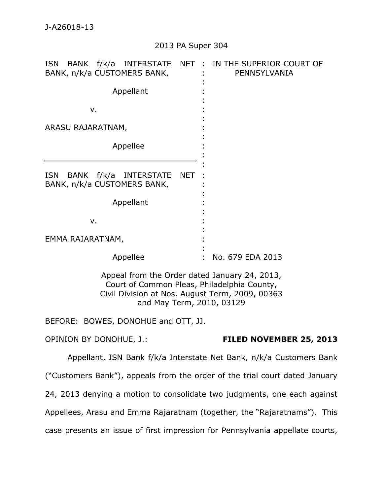## 2013 PA Super 304

| <b>ISN</b><br>BANK f/k/a INTERSTATE<br>BANK, n/k/a CUSTOMERS BANK,                                                                                                           | NET : IN THE SUPERIOR COURT OF<br>PENNSYLVANIA |
|------------------------------------------------------------------------------------------------------------------------------------------------------------------------------|------------------------------------------------|
| Appellant                                                                                                                                                                    |                                                |
| v.                                                                                                                                                                           |                                                |
| ARASU RAJARATNAM,                                                                                                                                                            |                                                |
| Appellee                                                                                                                                                                     |                                                |
| <b>ISN</b><br><b>BANK</b><br>f/k/a<br><b>INTERSTATE</b><br><b>NET</b><br>BANK, n/k/a CUSTOMERS BANK,                                                                         |                                                |
| Appellant                                                                                                                                                                    |                                                |
| v.                                                                                                                                                                           |                                                |
| EMMA RAJARATNAM,                                                                                                                                                             |                                                |
| Appellee                                                                                                                                                                     | No. 679 EDA 2013                               |
| Appeal from the Order dated January 24, 2013,<br>Court of Common Pleas, Philadelphia County,<br>Civil Division at Nos. August Term, 2009, 00363<br>and May Term, 2010, 03129 |                                                |
| BEFORE: BOWES, DONOHUE and OTT, JJ.                                                                                                                                          |                                                |
| <b>OPINION BY DONOHUE, J.:</b>                                                                                                                                               | FILED NOVEMBER 25, 2013                        |

Appellant, ISN Bank f/k/a Interstate Net Bank, n/k/a Customers Bank ("Customers Bank"), appeals from the order of the trial court dated January 24, 2013 denying a motion to consolidate two judgments, one each against Appellees, Arasu and Emma Rajaratnam (together, the "Rajaratnams"). This case presents an issue of first impression for Pennsylvania appellate courts,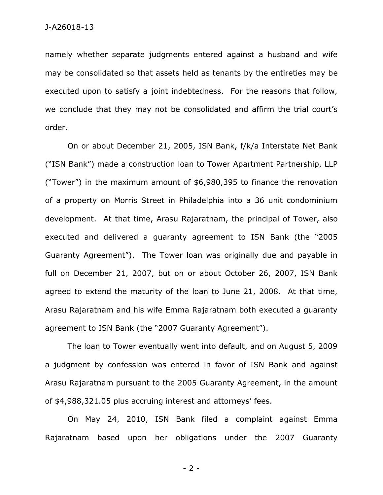namely whether separate judgments entered against a husband and wife may be consolidated so that assets held as tenants by the entireties may be executed upon to satisfy a joint indebtedness. For the reasons that follow, we conclude that they may not be consolidated and affirm the trial court's order.

On or about December 21, 2005, ISN Bank, f/k/a Interstate Net Bank ("ISN Bank") made a construction loan to Tower Apartment Partnership, LLP ("Tower") in the maximum amount of \$6,980,395 to finance the renovation of a property on Morris Street in Philadelphia into a 36 unit condominium development. At that time, Arasu Rajaratnam, the principal of Tower, also executed and delivered a guaranty agreement to ISN Bank (the "2005 Guaranty Agreement"). The Tower loan was originally due and payable in full on December 21, 2007, but on or about October 26, 2007, ISN Bank agreed to extend the maturity of the loan to June 21, 2008. At that time, Arasu Rajaratnam and his wife Emma Rajaratnam both executed a guaranty agreement to ISN Bank (the "2007 Guaranty Agreement").

The loan to Tower eventually went into default, and on August 5, 2009 a judgment by confession was entered in favor of ISN Bank and against Arasu Rajaratnam pursuant to the 2005 Guaranty Agreement, in the amount of \$4,988,321.05 plus accruing interest and attorneys' fees.

On May 24, 2010, ISN Bank filed a complaint against Emma Rajaratnam based upon her obligations under the 2007 Guaranty

- 2 -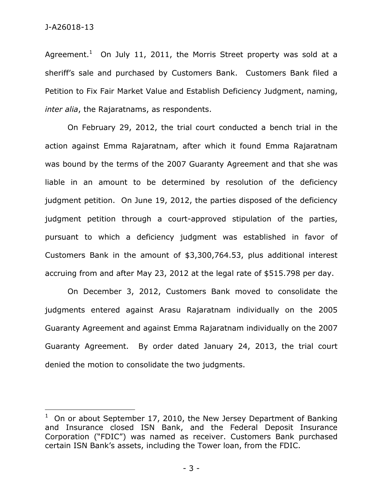$\overline{a}$ 

Agreement.<sup>1</sup> On July 11, 2011, the Morris Street property was sold at a sheriff's sale and purchased by Customers Bank. Customers Bank filed a Petition to Fix Fair Market Value and Establish Deficiency Judgment, naming, *inter alia*, the Rajaratnams, as respondents.

On February 29, 2012, the trial court conducted a bench trial in the action against Emma Rajaratnam, after which it found Emma Rajaratnam was bound by the terms of the 2007 Guaranty Agreement and that she was liable in an amount to be determined by resolution of the deficiency judgment petition. On June 19, 2012, the parties disposed of the deficiency judgment petition through a court-approved stipulation of the parties, pursuant to which a deficiency judgment was established in favor of Customers Bank in the amount of \$3,300,764.53, plus additional interest accruing from and after May 23, 2012 at the legal rate of \$515.798 per day.

On December 3, 2012, Customers Bank moved to consolidate the judgments entered against Arasu Rajaratnam individually on the 2005 Guaranty Agreement and against Emma Rajaratnam individually on the 2007 Guaranty Agreement. By order dated January 24, 2013, the trial court denied the motion to consolidate the two judgments.

 $1$  On or about September 17, 2010, the New Jersey Department of Banking and Insurance closed ISN Bank, and the Federal Deposit Insurance Corporation ("FDIC") was named as receiver. Customers Bank purchased certain ISN Bank's assets, including the Tower loan, from the FDIC.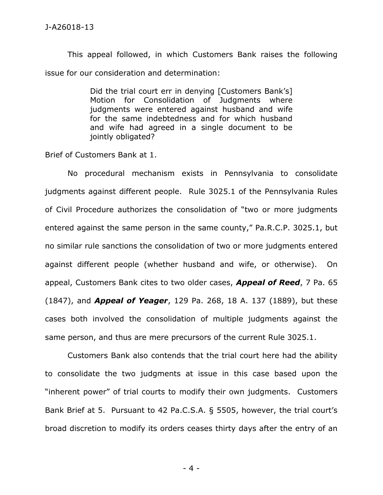This appeal followed, in which Customers Bank raises the following issue for our consideration and determination:

> Did the trial court err in denying [Customers Bank's] Motion for Consolidation of Judgments where judgments were entered against husband and wife for the same indebtedness and for which husband and wife had agreed in a single document to be jointly obligated?

Brief of Customers Bank at 1.

No procedural mechanism exists in Pennsylvania to consolidate judgments against different people. Rule 3025.1 of the Pennsylvania Rules of Civil Procedure authorizes the consolidation of "two or more judgments entered against the same person in the same county," Pa.R.C.P. 3025.1, but no similar rule sanctions the consolidation of two or more judgments entered against different people (whether husband and wife, or otherwise). On appeal, Customers Bank cites to two older cases, *Appeal of Reed*, 7 Pa. 65 (1847), and *Appeal of Yeager*, 129 Pa. 268, 18 A. 137 (1889), but these cases both involved the consolidation of multiple judgments against the same person, and thus are mere precursors of the current Rule 3025.1.

Customers Bank also contends that the trial court here had the ability to consolidate the two judgments at issue in this case based upon the "inherent power" of trial courts to modify their own judgments. Customers Bank Brief at 5. Pursuant to 42 Pa.C.S.A. § 5505, however, the trial court's broad discretion to modify its orders ceases thirty days after the entry of an

- 4 -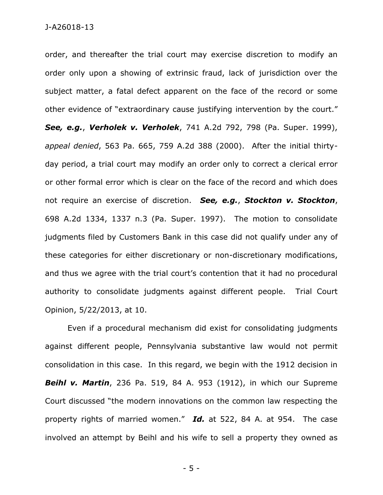order, and thereafter the trial court may exercise discretion to modify an order only upon a showing of extrinsic fraud, lack of jurisdiction over the subject matter, a fatal defect apparent on the face of the record or some other evidence of "extraordinary cause justifying intervention by the court." *See, e.g.*, *Verholek v. Verholek*, 741 A.2d 792, 798 (Pa. Super. 1999), *appeal denied*, 563 Pa. 665, 759 A.2d 388 (2000). After the initial thirtyday period, a trial court may modify an order only to correct a clerical error or other formal error which is clear on the face of the record and which does not require an exercise of discretion. *See, e.g.*, *Stockton v. Stockton*, 698 A.2d 1334, 1337 n.3 (Pa. Super. 1997). The motion to consolidate judgments filed by Customers Bank in this case did not qualify under any of these categories for either discretionary or non-discretionary modifications, and thus we agree with the trial court's contention that it had no procedural authority to consolidate judgments against different people. Trial Court Opinion, 5/22/2013, at 10.

Even if a procedural mechanism did exist for consolidating judgments against different people, Pennsylvania substantive law would not permit consolidation in this case. In this regard, we begin with the 1912 decision in *Beihl v. Martin*, 236 Pa. 519, 84 A. 953 (1912), in which our Supreme Court discussed "the modern innovations on the common law respecting the property rights of married women." *Id.* at 522, 84 A. at 954. The case involved an attempt by Beihl and his wife to sell a property they owned as

- 5 -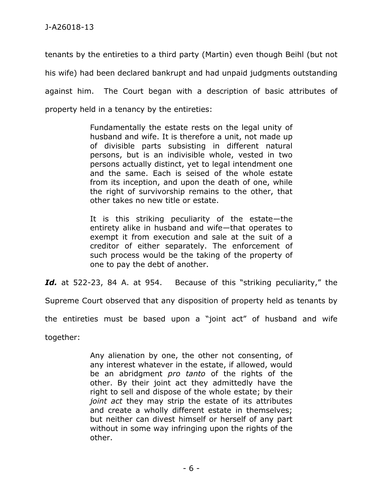tenants by the entireties to a third party (Martin) even though Beihl (but not his wife) had been declared bankrupt and had unpaid judgments outstanding against him. The Court began with a description of basic attributes of property held in a tenancy by the entireties:

> Fundamentally the estate rests on the legal unity of husband and wife. It is therefore a unit, not made up of divisible parts subsisting in different natural persons, but is an indivisible whole, vested in two persons actually distinct, yet to legal intendment one and the same. Each is seised of the whole estate from its inception, and upon the death of one, while the right of survivorship remains to the other, that other takes no new title or estate.

> It is this striking peculiarity of the estate—the entirety alike in husband and wife—that operates to exempt it from execution and sale at the suit of a creditor of either separately. The enforcement of such process would be the taking of the property of one to pay the debt of another.

*Id.* at 522-23, 84 A. at 954. Because of this "striking peculiarity," the

Supreme Court observed that any disposition of property held as tenants by

the entireties must be based upon a "joint act" of husband and wife

together:

Any alienation by one, the other not consenting, of any interest whatever in the estate, if allowed, would be an abridgment *pro tanto* of the rights of the other. By their joint act they admittedly have the right to sell and dispose of the whole estate; by their *joint act* they may strip the estate of its attributes and create a wholly different estate in themselves; but neither can divest himself or herself of any part without in some way infringing upon the rights of the other.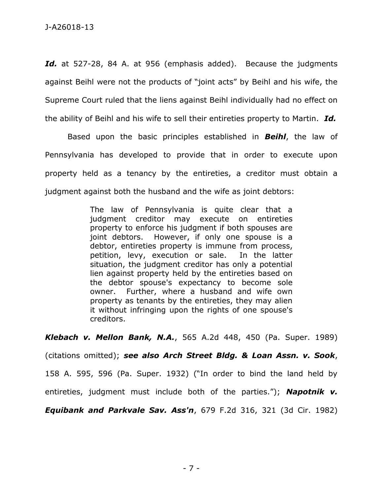Id. at 527-28, 84 A. at 956 (emphasis added). Because the judgments against Beihl were not the products of "joint acts" by Beihl and his wife, the Supreme Court ruled that the liens against Beihl individually had no effect on the ability of Beihl and his wife to sell their entireties property to Martin. *Id.*

Based upon the basic principles established in *Beihl*, the law of Pennsylvania has developed to provide that in order to execute upon property held as a tenancy by the entireties, a creditor must obtain a judgment against both the husband and the wife as joint debtors:

> The law of Pennsylvania is quite clear that a judgment creditor may execute on entireties property to enforce his judgment if both spouses are joint debtors. However, if only one spouse is a debtor, entireties property is immune from process, petition, levy, execution or sale. In the latter situation, the judgment creditor has only a potential lien against property held by the entireties based on the debtor spouse's expectancy to become sole owner. Further, where a husband and wife own property as tenants by the entireties, they may alien it without infringing upon the rights of one spouse's creditors.

*Klebach v. Mellon Bank, N.A.*, 565 A.2d 448, 450 (Pa. Super. 1989) (citations omitted); *see also Arch Street Bldg. & Loan Assn. v. Sook*, 158 A. 595, 596 (Pa. Super. 1932) ("In order to bind the land held by entireties, judgment must include both of the parties."); *Napotnik v. Equibank and Parkvale Sav. Ass'n*, 679 F.2d 316, 321 (3d Cir. 1982)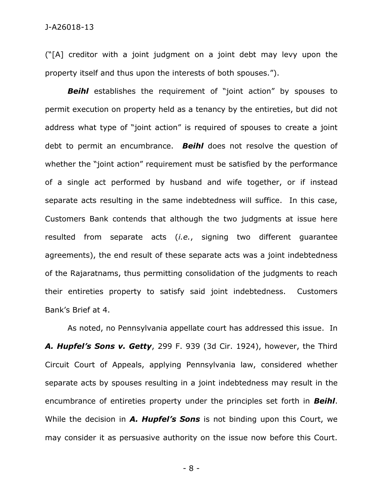("[A] creditor with a joint judgment on a joint debt may levy upon the property itself and thus upon the interests of both spouses.").

*Beihl* establishes the requirement of "joint action" by spouses to permit execution on property held as a tenancy by the entireties, but did not address what type of "joint action" is required of spouses to create a joint debt to permit an encumbrance. *Beihl* does not resolve the question of whether the "joint action" requirement must be satisfied by the performance of a single act performed by husband and wife together, or if instead separate acts resulting in the same indebtedness will suffice. In this case, Customers Bank contends that although the two judgments at issue here resulted from separate acts (*i.e.*, signing two different guarantee agreements), the end result of these separate acts was a joint indebtedness of the Rajaratnams, thus permitting consolidation of the judgments to reach their entireties property to satisfy said joint indebtedness. Customers Bank's Brief at 4.

As noted, no Pennsylvania appellate court has addressed this issue. In *A. Hupfel's Sons v. Getty*, 299 F. 939 (3d Cir. 1924), however, the Third Circuit Court of Appeals, applying Pennsylvania law, considered whether separate acts by spouses resulting in a joint indebtedness may result in the encumbrance of entireties property under the principles set forth in *Beihl*. While the decision in *A. Hupfel's Sons* is not binding upon this Court, we may consider it as persuasive authority on the issue now before this Court.

- 8 -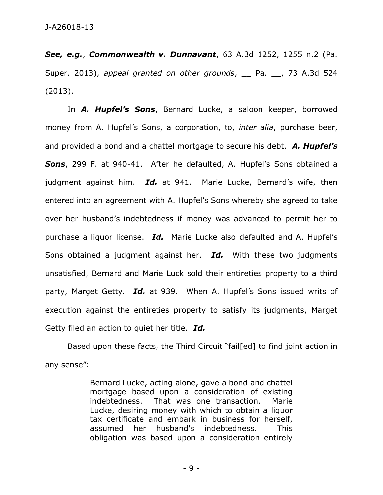*See, e.g.*, *Commonwealth v. Dunnavant*, 63 A.3d 1252, 1255 n.2 (Pa. Super. 2013), *appeal granted on other grounds*, Pa. , 73 A.3d 524 (2013).

In *A. Hupfel's Sons*, Bernard Lucke, a saloon keeper, borrowed money from A. Hupfel's Sons, a corporation, to, *inter alia*, purchase beer, and provided a bond and a chattel mortgage to secure his debt. *A. Hupfel's Sons*, 299 F. at 940-41. After he defaulted, A. Hupfel's Sons obtained a judgment against him. *Id.* at 941. Marie Lucke, Bernard's wife, then entered into an agreement with A. Hupfel's Sons whereby she agreed to take over her husband's indebtedness if money was advanced to permit her to purchase a liquor license. *Id.* Marie Lucke also defaulted and A. Hupfel's Sons obtained a judgment against her. *Id.* With these two judgments unsatisfied, Bernard and Marie Luck sold their entireties property to a third party, Marget Getty. *Id.* at 939. When A. Hupfel's Sons issued writs of execution against the entireties property to satisfy its judgments, Marget Getty filed an action to quiet her title. *Id.*

Based upon these facts, the Third Circuit "fail[ed] to find joint action in any sense":

> Bernard Lucke, acting alone, gave a bond and chattel mortgage based upon a consideration of existing indebtedness. That was one transaction. Marie Lucke, desiring money with which to obtain a liquor tax certificate and embark in business for herself, assumed her husband's indebtedness. This obligation was based upon a consideration entirely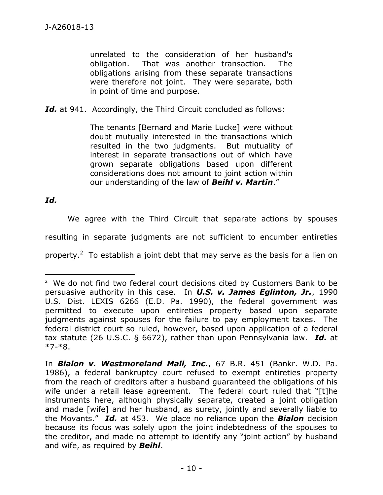unrelated to the consideration of her husband's obligation. That was another transaction. The obligations arising from these separate transactions were therefore not joint. They were separate, both in point of time and purpose.

Id. at 941. Accordingly, the Third Circuit concluded as follows:

The tenants [Bernard and Marie Lucke] were without doubt mutually interested in the transactions which resulted in the two judgments. But mutuality of interest in separate transactions out of which have grown separate obligations based upon different considerations does not amount to joint action within our understanding of the law of *Beihl v. Martin*."

*Id.*

 $\overline{a}$ 

We agree with the Third Circuit that separate actions by spouses resulting in separate judgments are not sufficient to encumber entireties property.<sup>2</sup> To establish a joint debt that may serve as the basis for a lien on

<sup>&</sup>lt;sup>2</sup> We do not find two federal court decisions cited by Customers Bank to be persuasive authority in this case. In *U.S. v. James Eglinton, Jr.*, 1990 U.S. Dist. LEXIS 6266 (E.D. Pa. 1990), the federal government was permitted to execute upon entireties property based upon separate judgments against spouses for the failure to pay employment taxes. The federal district court so ruled, however, based upon application of a federal tax statute (26 U.S.C. § 6672), rather than upon Pennsylvania law. *Id.* at \*7-\*8.

In *Bialon v. Westmoreland Mall, Inc.*, 67 B.R. 451 (Bankr. W.D. Pa. 1986), a federal bankruptcy court refused to exempt entireties property from the reach of creditors after a husband guaranteed the obligations of his wife under a retail lease agreement. The federal court ruled that "[t]he instruments here, although physically separate, created a joint obligation and made [wife] and her husband, as surety, jointly and severally liable to the Movants." *Id.* at 453. We place no reliance upon the *Bialon* decision because its focus was solely upon the joint indebtedness of the spouses to the creditor, and made no attempt to identify any "joint action" by husband and wife, as required by *Beihl*.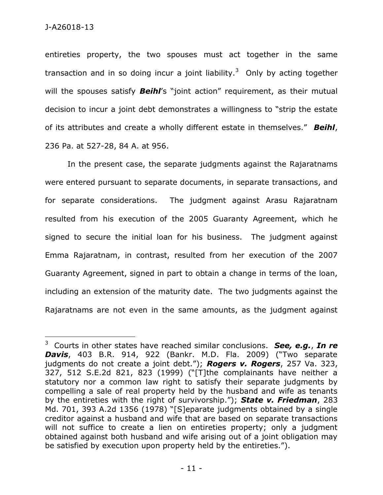$\overline{a}$ 

entireties property, the two spouses must act together in the same transaction and in so doing incur a joint liability.<sup>3</sup> Only by acting together will the spouses satisfy *Beihl*'s "joint action" requirement, as their mutual decision to incur a joint debt demonstrates a willingness to "strip the estate of its attributes and create a wholly different estate in themselves." *Beihl*, 236 Pa. at 527-28, 84 A. at 956.

In the present case, the separate judgments against the Rajaratnams were entered pursuant to separate documents, in separate transactions, and for separate considerations. The judgment against Arasu Rajaratnam resulted from his execution of the 2005 Guaranty Agreement, which he signed to secure the initial loan for his business. The judgment against Emma Rajaratnam, in contrast, resulted from her execution of the 2007 Guaranty Agreement, signed in part to obtain a change in terms of the loan, including an extension of the maturity date. The two judgments against the Rajaratnams are not even in the same amounts, as the judgment against

<sup>3</sup> Courts in other states have reached similar conclusions. *See, e.g.*, *In re Davis*, 403 B.R. 914, 922 (Bankr. M.D. Fla. 2009) ("Two separate judgments do not create a joint debt."); *Rogers v. Rogers*, 257 Va. 323, 327, 512 S.E.2d 821, 823 (1999) ("[T]the complainants have neither a statutory nor a common law right to satisfy their separate judgments by compelling a sale of real property held by the husband and wife as tenants by the entireties with the right of survivorship."); *State v. Friedman*, 283 Md. 701, 393 A.2d 1356 (1978) "[S]eparate judgments obtained by a single creditor against a husband and wife that are based on separate transactions will not suffice to create a lien on entireties property; only a judgment obtained against both husband and wife arising out of a joint obligation may be satisfied by execution upon property held by the entireties.").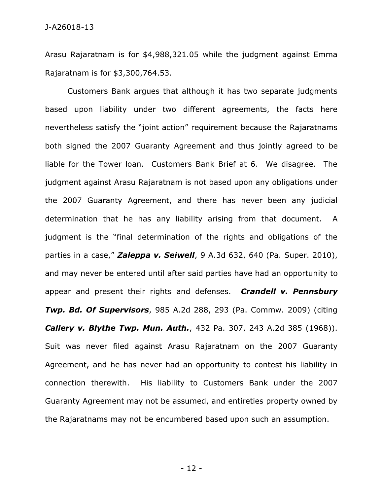Arasu Rajaratnam is for \$4,988,321.05 while the judgment against Emma Rajaratnam is for \$3,300,764.53.

Customers Bank argues that although it has two separate judgments based upon liability under two different agreements, the facts here nevertheless satisfy the "joint action" requirement because the Rajaratnams both signed the 2007 Guaranty Agreement and thus jointly agreed to be liable for the Tower loan. Customers Bank Brief at 6. We disagree. The judgment against Arasu Rajaratnam is not based upon any obligations under the 2007 Guaranty Agreement, and there has never been any judicial determination that he has any liability arising from that document. A judgment is the "final determination of the rights and obligations of the parties in a case," *Zaleppa v. Seiwell*, 9 A.3d 632, 640 (Pa. Super. 2010), and may never be entered until after said parties have had an opportunity to appear and present their rights and defenses. *Crandell v. Pennsbury Twp. Bd. Of Supervisors*, 985 A.2d 288, 293 (Pa. Commw. 2009) (citing *Callery v. Blythe Twp. Mun. Auth.*, 432 Pa. 307, 243 A.2d 385 (1968)). Suit was never filed against Arasu Rajaratnam on the 2007 Guaranty Agreement, and he has never had an opportunity to contest his liability in connection therewith. His liability to Customers Bank under the 2007 Guaranty Agreement may not be assumed, and entireties property owned by the Rajaratnams may not be encumbered based upon such an assumption.

- 12 -